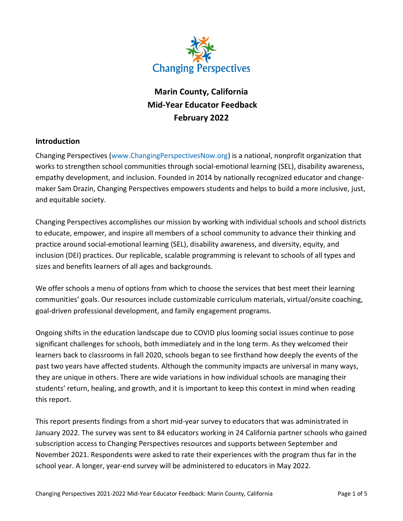

# **Marin County, California Mid-Year Educator Feedback February 2022**

### **Introduction**

Changing Perspectives [\(www.ChangingPerspectivesNow.org\)](http://www.changingperspectivesnow.org/) is a national, nonprofit organization that works to strengthen school communities through social-emotional learning (SEL), disability awareness, empathy development, and inclusion. Founded in 2014 by nationally recognized educator and changemaker Sam Drazin, Changing Perspectives empowers students and helps to build a more inclusive, just, and equitable society.

Changing Perspectives accomplishes our mission by working with individual schools and school districts to educate, empower, and inspire all members of a school community to advance their thinking and practice around social-emotional learning (SEL), disability awareness, and diversity, equity, and inclusion (DEI) practices. Our replicable, scalable programming is relevant to schools of all types and sizes and benefits learners of all ages and backgrounds.

We offer schools a menu of options from which to choose the services that best meet their learning communities' goals. Our resources include customizable curriculum materials, virtual/onsite coaching, goal-driven professional development, and family engagement programs.

Ongoing shifts in the education landscape due to COVID plus looming social issues continue to pose significant challenges for schools, both immediately and in the long term. As they welcomed their learners back to classrooms in fall 2020, schools began to see firsthand how deeply the events of the past two years have affected students. Although the community impacts are universal in many ways, they are unique in others. There are wide variations in how individual schools are managing their students' return, healing, and growth, and it is important to keep this context in mind when reading this report.

This report presents findings from a short mid-year survey to educators that was administrated in January 2022. The survey was sent to 84 educators working in 24 California partner schools who gained subscription access to Changing Perspectives resources and supports between September and November 2021. Respondents were asked to rate their experiences with the program thus far in the school year. A longer, year-end survey will be administered to educators in May 2022.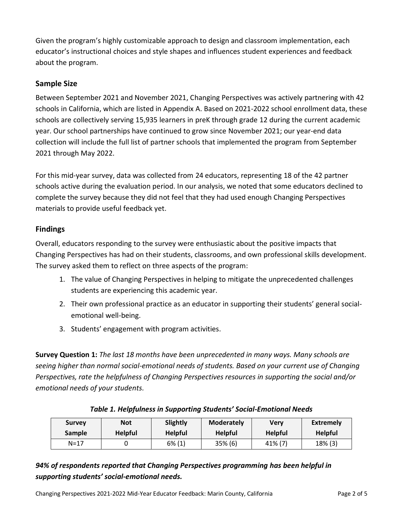Given the program's highly customizable approach to design and classroom implementation, each educator's instructional choices and style shapes and influences student experiences and feedback about the program.

# **Sample Size**

Between September 2021 and November 2021, Changing Perspectives was actively partnering with 42 schools in California, which are listed in Appendix A. Based on 2021-2022 school enrollment data, these schools are collectively serving 15,935 learners in preK through grade 12 during the current academic year. Our school partnerships have continued to grow since November 2021; our year-end data collection will include the full list of partner schools that implemented the program from September 2021 through May 2022.

For this mid-year survey, data was collected from 24 educators, representing 18 of the 42 partner schools active during the evaluation period. In our analysis, we noted that some educators declined to complete the survey because they did not feel that they had used enough Changing Perspectives materials to provide useful feedback yet.

# **Findings**

Overall, educators responding to the survey were enthusiastic about the positive impacts that Changing Perspectives has had on their students, classrooms, and own professional skills development. The survey asked them to reflect on three aspects of the program:

- 1. The value of Changing Perspectives in helping to mitigate the unprecedented challenges students are experiencing this academic year.
- 2. Their own professional practice as an educator in supporting their students' general socialemotional well-being.
- 3. Students' engagement with program activities.

**Survey Question 1:** *The last 18 months have been unprecedented in many ways. Many schools are seeing higher than normal social-emotional needs of students. Based on your current use of Changing Perspectives, rate the helpfulness of Changing Perspectives resources in supporting the social and/or emotional needs of your students.*

| <b>Survey</b> | <b>Not</b>     | Slightly       | <b>Moderately</b> | Verv           | <b>Extremely</b> |
|---------------|----------------|----------------|-------------------|----------------|------------------|
| <b>Sample</b> | <b>Helpful</b> | <b>Helpful</b> | <b>Helpful</b>    | <b>Helpful</b> | <b>Helpful</b>   |
| $N = 17$      |                | $6\%$ (1)      | $35\%$ (6)        | 41% (7)        | 18% (3)          |

# *Table 1. Helpfulness in Supporting Students' Social-Emotional Needs*

# *94% of respondents reported that Changing Perspectives programming has been helpful in supporting students' social-emotional needs.*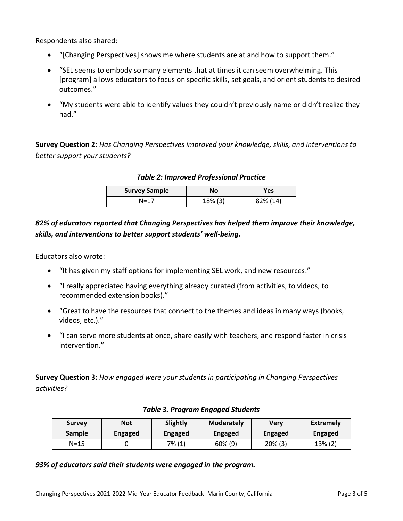Respondents also shared:

- "[Changing Perspectives] shows me where students are at and how to support them."
- "SEL seems to embody so many elements that at times it can seem overwhelming. This [program] allows educators to focus on specific skills, set goals, and orient students to desired outcomes."
- "My students were able to identify values they couldn't previously name or didn't realize they had."

**Survey Question 2:** *Has Changing Perspectives improved your knowledge, skills, and interventions to better support your students?*

| <b>Survey Sample</b> | No      | <b>Yes</b> |
|----------------------|---------|------------|
| $N = 17$             | 18% (3) | 82% (14)   |

#### *Table 2: Improved Professional Practice*

*82% of educators reported that Changing Perspectives has helped them improve their knowledge, skills, and interventions to better support students' well-being.*

Educators also wrote:

- "It has given my staff options for implementing SEL work, and new resources."
- "I really appreciated having everything already curated (from activities, to videos, to recommended extension books)."
- "Great to have the resources that connect to the themes and ideas in many ways (books, videos, etc.)."
- "I can serve more students at once, share easily with teachers, and respond faster in crisis intervention."

**Survey Question 3:** *How engaged were your students in participating in Changing Perspectives activities?*

| <b>Survey</b> | <b>Not</b>     | Slightly       | <b>Moderately</b> | Verv           | <b>Extremely</b> |
|---------------|----------------|----------------|-------------------|----------------|------------------|
| <b>Sample</b> | <b>Engaged</b> | <b>Engaged</b> | <b>Engaged</b>    | <b>Engaged</b> | Engaged          |
| N=15          |                | $7\%(1)$       | 60% (9)           | 20% (3)        | 13% (2)          |

#### *Table 3. Program Engaged Students*

*93% of educators said their students were engaged in the program.*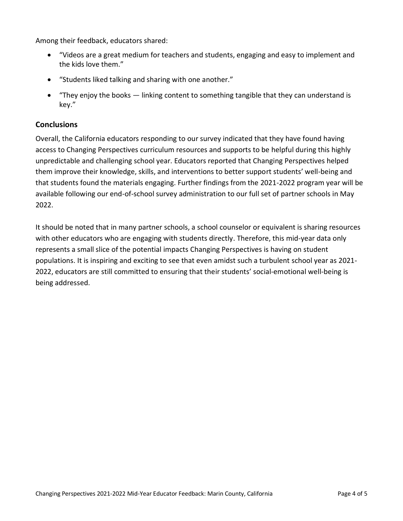Among their feedback, educators shared:

- "Videos are a great medium for teachers and students, engaging and easy to implement and the kids love them."
- "Students liked talking and sharing with one another."
- "They enjoy the books linking content to something tangible that they can understand is key."

### **Conclusions**

Overall, the California educators responding to our survey indicated that they have found having access to Changing Perspectives curriculum resources and supports to be helpful during this highly unpredictable and challenging school year. Educators reported that Changing Perspectives helped them improve their knowledge, skills, and interventions to better support students' well-being and that students found the materials engaging. Further findings from the 2021-2022 program year will be available following our end-of-school survey administration to our full set of partner schools in May 2022.

It should be noted that in many partner schools, a school counselor or equivalent is sharing resources with other educators who are engaging with students directly. Therefore, this mid-year data only represents a small slice of the potential impacts Changing Perspectives is having on student populations. It is inspiring and exciting to see that even amidst such a turbulent school year as 2021- 2022, educators are still committed to ensuring that their students' social-emotional well-being is being addressed.